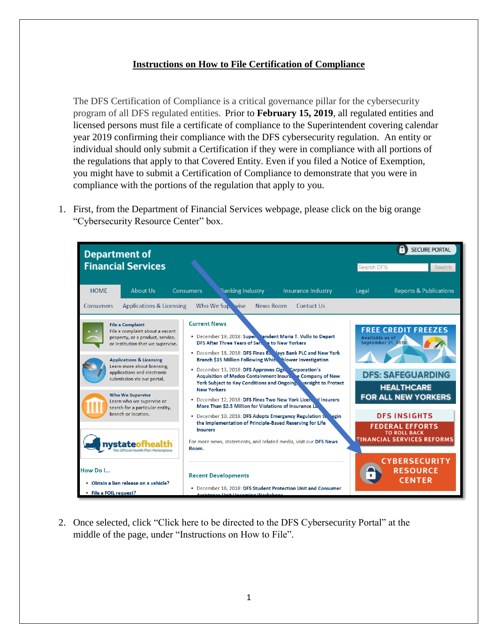## **Instructions on How to File Certification of Compliance**

The DFS Certification of Compliance is a critical governance pillar for the cybersecurity program of all DFS regulated entities. Prior to **February 15, 2019**, all regulated entities and licensed persons must file a certificate of compliance to the Superintendent covering calendar year 2019 confirming their compliance with the DFS cybersecurity regulation. An entity or individual should only submit a Certification if they were in compliance with all portions of the regulations that apply to that Covered Entity. Even if you filed a Notice of Exemption, you might have to submit a Certification of Compliance to demonstrate that you were in compliance with the portions of the regulation that apply to you.

1. First, from the Department of Financial Services webpage, please click on the big orange "Cybersecurity Resource Center" box.



2. Once selected, click "Click here to be directed to the DFS Cybersecurity Portal" at the middle of the page, under "Instructions on How to File".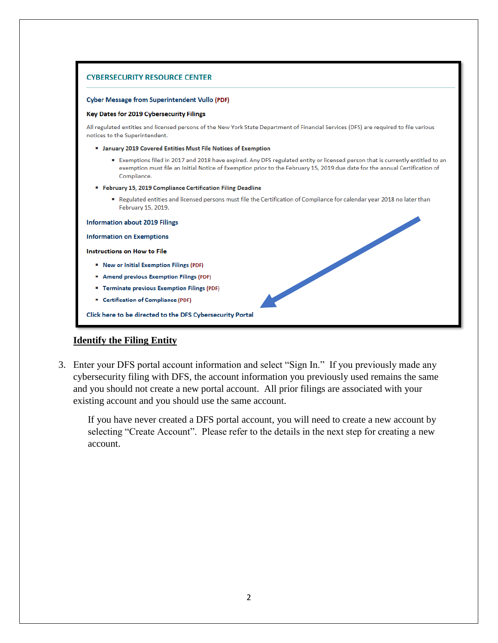

## **Identify the Filing Entity**

3. Enter your DFS portal account information and select "Sign In." If you previously made any cybersecurity filing with DFS, the account information you previously used remains the same and you should not create a new portal account. All prior filings are associated with your existing account and you should use the same account.

If you have never created a DFS portal account, you will need to create a new account by selecting "Create Account". Please refer to the details in the next step for creating a new account.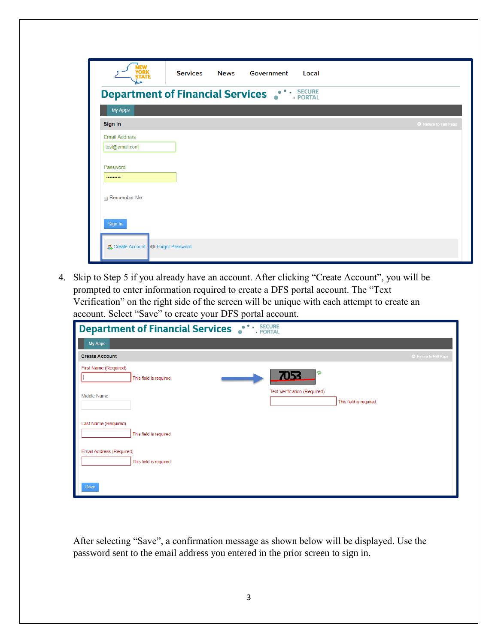| <b>Department of Financial Services • CONTER SECURE</b><br>My Apps<br>Sign In<br><b>Email Address</b><br>test@email.com |  |  |                     |
|-------------------------------------------------------------------------------------------------------------------------|--|--|---------------------|
|                                                                                                                         |  |  |                     |
|                                                                                                                         |  |  |                     |
|                                                                                                                         |  |  | Return to Full Page |
| Password                                                                                                                |  |  |                     |
| <br>Remember Me                                                                                                         |  |  |                     |
| Sign In<br><b>2</b> Create Account <b>2</b> Forgot Password                                                             |  |  |                     |

4. Skip to Step 5 if you already have an account. After clicking "Create Account", you will be prompted to enter information required to create a DFS portal account. The "Text Verification" on the right side of the screen will be unique with each attempt to create an account. Select "Save" to create your DFS portal account.

| - SECURE<br>Department of Financial Services<br>۰<br>· PORTAL          |                     |  |  |  |  |
|------------------------------------------------------------------------|---------------------|--|--|--|--|
| My Apps                                                                |                     |  |  |  |  |
| <b>Create Account</b>                                                  | Return to Full Page |  |  |  |  |
| First Name (Required)<br>B<br>7053<br>This field is required.          |                     |  |  |  |  |
| Text Verification (Required)<br>Middle Name<br>This field is required. |                     |  |  |  |  |
| Last Name (Required)<br>This field is required.                        |                     |  |  |  |  |
| Email Address (Required)<br>This field is required.                    |                     |  |  |  |  |
| Save                                                                   |                     |  |  |  |  |

After selecting "Save", a confirmation message as shown below will be displayed. Use the password sent to the email address you entered in the prior screen to sign in.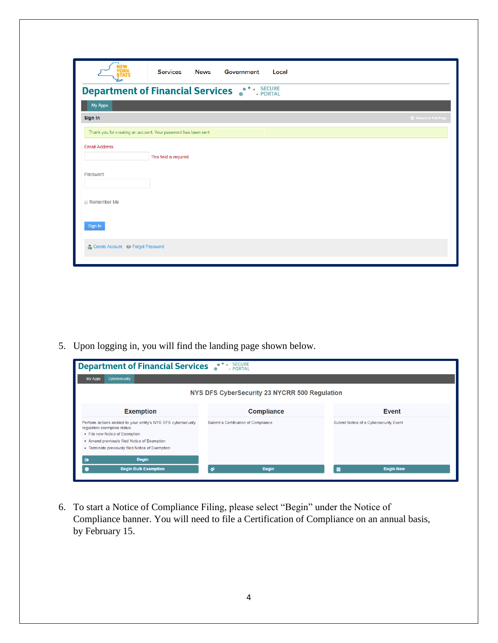|                                  | Services<br><b>News</b><br>Government<br>Local                 |                     |
|----------------------------------|----------------------------------------------------------------|---------------------|
|                                  | <b>Department of Financial Services • CONTER</b>               |                     |
| My Apps                          |                                                                |                     |
| Sign In                          |                                                                | Return to Full Page |
|                                  | Thank you for creating an account. Your password has been sent |                     |
| <b>Email Address</b><br>Password | This field is required.                                        |                     |
| Remember Me                      |                                                                |                     |
| Sign In                          |                                                                |                     |
| Create Account & Forgot Password |                                                                |                     |

5. Upon logging in, you will find the landing page shown below.

| <b>SECURE</b><br>Department of Financial Services<br>· PORTAL                                                                                                                                                                        |                                      |                                        |  |  |  |  |
|--------------------------------------------------------------------------------------------------------------------------------------------------------------------------------------------------------------------------------------|--------------------------------------|----------------------------------------|--|--|--|--|
| Cybersecurity<br>My Apps                                                                                                                                                                                                             |                                      |                                        |  |  |  |  |
| NYS DFS CyberSecurity 23 NYCRR 500 Regulation                                                                                                                                                                                        |                                      |                                        |  |  |  |  |
| <b>Exemption</b>                                                                                                                                                                                                                     | <b>Compliance</b>                    | <b>Event</b>                           |  |  |  |  |
| Perform actions related to your entity's NYS DFS cybersecurity<br>regulation exemption status.<br>• File new Notice of Exemption<br>• Amend previously filed Notice of Exemption<br>• Terminate previously filed Notice of Exemption | Submit a Certification of Compliance | Submit Notice of a Cybersecurity Event |  |  |  |  |
| <b>Begin</b><br>$\bullet$<br><b>Begin Bulk Exemption</b><br>s                                                                                                                                                                        | Ý<br><b>Begin</b>                    | 蘦<br><b>Begin New</b>                  |  |  |  |  |

6. To start a Notice of Compliance Filing, please select "Begin" under the Notice of Compliance banner. You will need to file a Certification of Compliance on an annual basis, by February 15.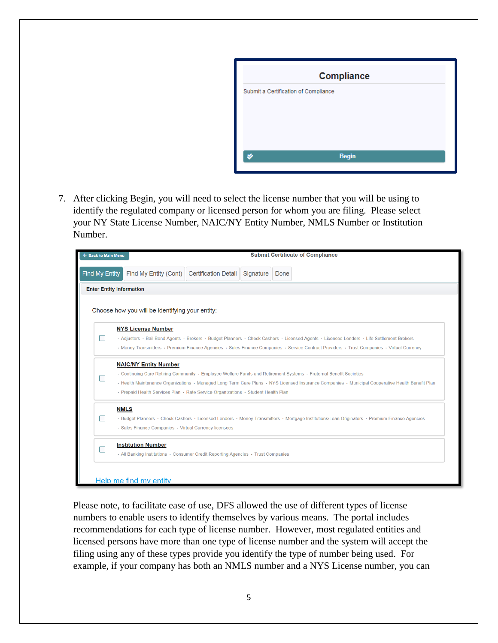

7. After clicking Begin, you will need to select the license number that you will be using to identify the regulated company or licensed person for whom you are filing. Please select your NY State License Number, NAIC/NY Entity Number, NMLS Number or Institution Number.

| ← Back to Main Menu                                                                                                                                                                                                                                                                                                                                                                         |                                                                                                                |  |  | <b>Submit Certificate of Compliance</b>                                                                                                                                                                                                                                                  |  |  |
|---------------------------------------------------------------------------------------------------------------------------------------------------------------------------------------------------------------------------------------------------------------------------------------------------------------------------------------------------------------------------------------------|----------------------------------------------------------------------------------------------------------------|--|--|------------------------------------------------------------------------------------------------------------------------------------------------------------------------------------------------------------------------------------------------------------------------------------------|--|--|
| Find My Entity                                                                                                                                                                                                                                                                                                                                                                              | Find My Entity (Cont) Certification Detail Signature                                                           |  |  | Done                                                                                                                                                                                                                                                                                     |  |  |
| <b>Enter Entity Information</b>                                                                                                                                                                                                                                                                                                                                                             |                                                                                                                |  |  |                                                                                                                                                                                                                                                                                          |  |  |
|                                                                                                                                                                                                                                                                                                                                                                                             | Choose how you will be identifying your entity:                                                                |  |  |                                                                                                                                                                                                                                                                                          |  |  |
|                                                                                                                                                                                                                                                                                                                                                                                             | <b>NYS License Number</b>                                                                                      |  |  | · Adjusters · Bail Bond Agents · Brokers · Budget Planners · Check Cashers · Licensed Agents · Licensed Lenders · Life Settlement Brokers<br>· Money Transmitters · Premium Finance Agencies · Sales Finance Companies · Service Contract Providers · Trust Companies · Virtual Currency |  |  |
| <b>NAIC/NY Entity Number</b><br>• Continuing Care Retiring Community • Employee Welfare Funds and Retirement Systems • Fraternal Benefit Societies<br>· Health Maintenance Organizations · Managed Long Term Care Plans · NYS Licensed Insurance Companies · Municipal Cooperative Health Benefit Plan<br>· Prepaid Health Services Plan · Rate Service Organizations · Student Health Plan |                                                                                                                |  |  |                                                                                                                                                                                                                                                                                          |  |  |
| <b>NMLS</b><br>· Budget Planners · Check Cashers · Licensed Lenders · Money Transmitters · Mortgage Institutions/Loan Originators · Premium Finance Agencies<br>· Sales Finance Companies · Virtual Currency licensees                                                                                                                                                                      |                                                                                                                |  |  |                                                                                                                                                                                                                                                                                          |  |  |
|                                                                                                                                                                                                                                                                                                                                                                                             | <b>Institution Number</b><br>• All Banking Institutions • Consumer Credit Reporting Agencies • Trust Companies |  |  |                                                                                                                                                                                                                                                                                          |  |  |
|                                                                                                                                                                                                                                                                                                                                                                                             | Help me find my entity                                                                                         |  |  |                                                                                                                                                                                                                                                                                          |  |  |

Please note, to facilitate ease of use, DFS allowed the use of different types of license numbers to enable users to identify themselves by various means. The portal includes recommendations for each type of license number. However, most regulated entities and licensed persons have more than one type of license number and the system will accept the filing using any of these types provide you identify the type of number being used. For example, if your company has both an NMLS number and a NYS License number, you can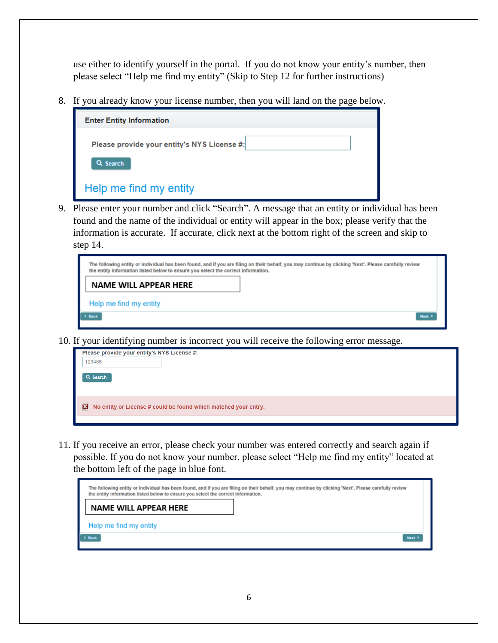use either to identify yourself in the portal. If you do not know your entity's number, then please select "Help me find my entity" (Skip to Step 12 for further instructions)

8. If you already know your license number, then you will land on the page below.

| <b>Enter Entity Information</b>             |  |
|---------------------------------------------|--|
| Please provide your entity's NYS License #: |  |
| Q Search                                    |  |
| Help me find my entity                      |  |

9. Please enter your number and click "Search". A message that an entity or individual has been found and the name of the individual or entity will appear in the box; please verify that the information is accurate. If accurate, click next at the bottom right of the screen and skip to step 14.

| the entity information listed below to ensure you select the correct information. | The following entity or individual has been found, and if you are filing on their behalf, you may continue by clicking 'Next'. Please carefully review |
|-----------------------------------------------------------------------------------|--------------------------------------------------------------------------------------------------------------------------------------------------------|
| <b>NAME WILL APPEAR HERE</b>                                                      |                                                                                                                                                        |
| Help me find my entity                                                            |                                                                                                                                                        |
| <b>C Back</b>                                                                     | Next >                                                                                                                                                 |

10. If your identifying number is incorrect you will receive the following error message.

| Please provide your entity's NYS License #: |                                                                 |
|---------------------------------------------|-----------------------------------------------------------------|
| 123456                                      |                                                                 |
| Q Search                                    |                                                                 |
|                                             | No entity or License # could be found which matched your entry. |
|                                             |                                                                 |

11. If you receive an error, please check your number was entered correctly and search again if possible. If you do not know your number, please select "Help me find my entity" located at the bottom left of the page in blue font.

| The following entity or individual has been found, and if you are filing on their behalf, you may continue by clicking 'Next'. Please carefully review<br>the entity information listed below to ensure you select the correct information. |             |
|---------------------------------------------------------------------------------------------------------------------------------------------------------------------------------------------------------------------------------------------|-------------|
| NAME WILL APPEAR HERE                                                                                                                                                                                                                       |             |
| Help me find my entity                                                                                                                                                                                                                      |             |
| $\leftarrow$ Back                                                                                                                                                                                                                           | <b>Next</b> |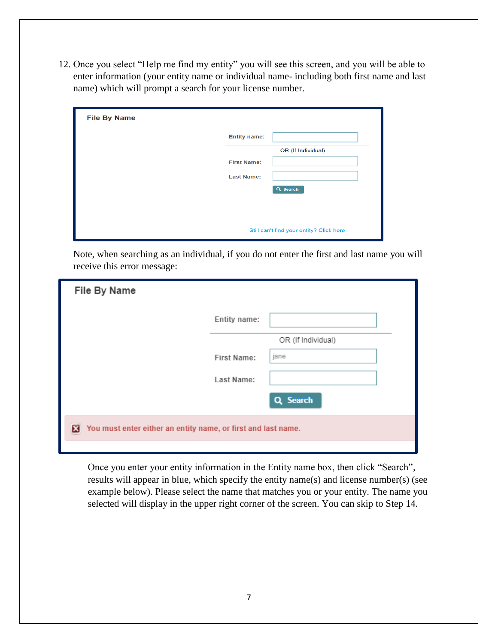12. Once you select "Help me find my entity" you will see this screen, and you will be able to enter information (your entity name or individual name- including both first name and last name) which will prompt a search for your license number.

| <b>File By Name</b> |                                          |
|---------------------|------------------------------------------|
|                     | <b>Entity name:</b>                      |
|                     | OR (If Individual)                       |
|                     | <b>First Name:</b>                       |
|                     | <b>Last Name:</b>                        |
|                     | Q Search                                 |
|                     |                                          |
|                     |                                          |
|                     | Still can't find your entity? Click here |

Note, when searching as an individual, if you do not enter the first and last name you will receive this error message:

| File By Name                                                       |              |                    |
|--------------------------------------------------------------------|--------------|--------------------|
|                                                                    | Entity name: |                    |
|                                                                    |              | OR (If Individual) |
|                                                                    | First Name:  | jane               |
|                                                                    | Last Name:   |                    |
|                                                                    |              | Q Search           |
| You must enter either an entity name, or first and last name.<br>× |              |                    |
|                                                                    |              |                    |

Once you enter your entity information in the Entity name box, then click "Search", results will appear in blue, which specify the entity name(s) and license number(s) (see example below). Please select the name that matches you or your entity. The name you selected will display in the upper right corner of the screen. You can skip to Step 14.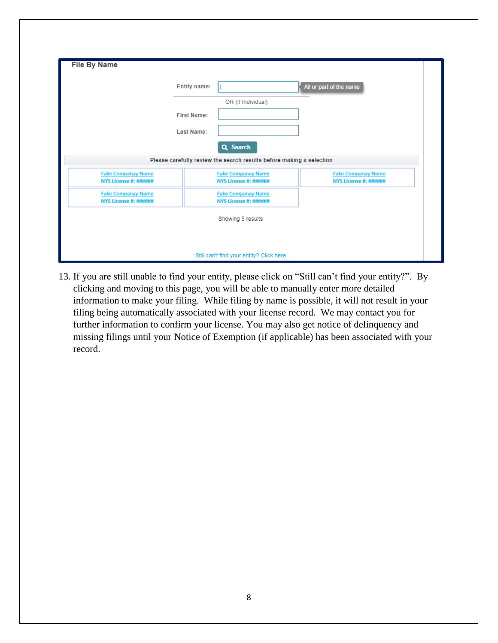| <b>File By Name</b>                                                              |              |                                                           |                                                           |  |  |  |
|----------------------------------------------------------------------------------|--------------|-----------------------------------------------------------|-----------------------------------------------------------|--|--|--|
|                                                                                  | Entity name: |                                                           | All or part of the name                                   |  |  |  |
|                                                                                  | First Name:  | OR (If Individual)                                        |                                                           |  |  |  |
|                                                                                  | Last Name:   |                                                           |                                                           |  |  |  |
| Q Search<br>Please carefully review the search results before making a selection |              |                                                           |                                                           |  |  |  |
| <b>Fake Companay Name</b><br><b>NYS License #: ######</b>                        |              | <b>Fake Companay Name</b><br><b>NYS License #: ######</b> | <b>Fake Companay Name</b><br><b>NYS License #: ######</b> |  |  |  |
| <b>Fake Companay Name</b><br><b>NYS License #: ######</b>                        |              | <b>Fake Companay Name</b><br><b>NYS License #: ######</b> |                                                           |  |  |  |
|                                                                                  |              | Showing 5 results                                         |                                                           |  |  |  |
|                                                                                  |              |                                                           |                                                           |  |  |  |
|                                                                                  |              | Still can't find your entity? Click here                  |                                                           |  |  |  |

13. If you are still unable to find your entity, please click on "Still can't find your entity?". By clicking and moving to this page, you will be able to manually enter more detailed information to make your filing. While filing by name is possible, it will not result in your filing being automatically associated with your license record. We may contact you for further information to confirm your license. You may also get notice of delinquency and missing filings until your Notice of Exemption (if applicable) has been associated with your record.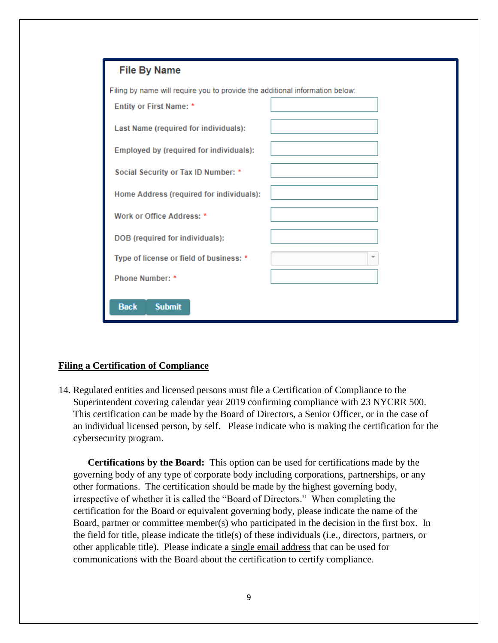

## **Filing a Certification of Compliance**

14. Regulated entities and licensed persons must file a Certification of Compliance to the Superintendent covering calendar year 2019 confirming compliance with 23 NYCRR 500. This certification can be made by the Board of Directors, a Senior Officer, or in the case of an individual licensed person, by self. Please indicate who is making the certification for the cybersecurity program.

**Certifications by the Board:** This option can be used for certifications made by the governing body of any type of corporate body including corporations, partnerships, or any other formations. The certification should be made by the highest governing body, irrespective of whether it is called the "Board of Directors." When completing the certification for the Board or equivalent governing body, please indicate the name of the Board, partner or committee member(s) who participated in the decision in the first box. In the field for title, please indicate the title(s) of these individuals (i.e., directors, partners, or other applicable title). Please indicate a single email address that can be used for communications with the Board about the certification to certify compliance.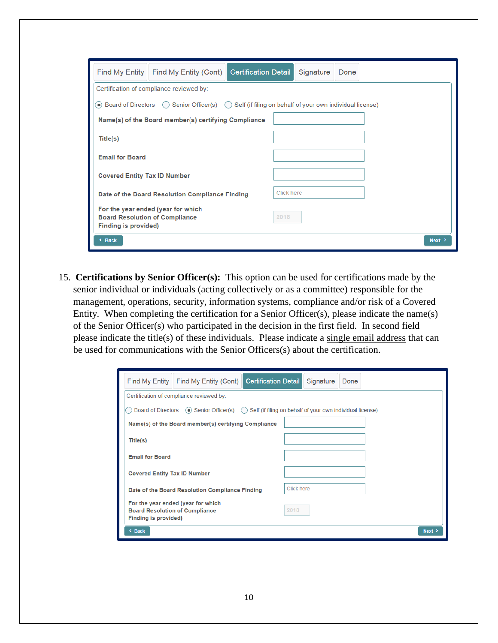| <b>Find My Entity</b>                                                                                                           | Find My Entity (Cont)                    | <b>Certification Detail</b> |      | Signature | Done |  |  |      |
|---------------------------------------------------------------------------------------------------------------------------------|------------------------------------------|-----------------------------|------|-----------|------|--|--|------|
|                                                                                                                                 | Certification of compliance reviewed by: |                             |      |           |      |  |  |      |
| Board of Directors $\bigcap$ Senior Officer(s) $\bigcap$ Self (if filing on behalf of your own individual license)<br>$\bullet$ |                                          |                             |      |           |      |  |  |      |
| Name(s) of the Board member(s) certifying Compliance                                                                            |                                          |                             |      |           |      |  |  |      |
| Title(s)                                                                                                                        |                                          |                             |      |           |      |  |  |      |
| <b>Email for Board</b>                                                                                                          |                                          |                             |      |           |      |  |  |      |
| <b>Covered Entity Tax ID Number</b>                                                                                             |                                          |                             |      |           |      |  |  |      |
| Date of the Board Resolution Compliance Finding                                                                                 |                                          | <b>Click here</b>           |      |           |      |  |  |      |
| <b>Board Resolution of Compliance</b><br><b>Finding is provided)</b>                                                            | For the year ended (year for which       |                             | 2018 |           |      |  |  |      |
| < Back                                                                                                                          |                                          |                             |      |           |      |  |  | Next |

15. **Certifications by Senior Officer(s):** This option can be used for certifications made by the senior individual or individuals (acting collectively or as a committee) responsible for the management, operations, security, information systems, compliance and/or risk of a Covered Entity. When completing the certification for a Senior Officer(s), please indicate the name(s) of the Senior Officer(s) who participated in the decision in the first field. In second field please indicate the title(s) of these individuals. Please indicate a single email address that can be used for communications with the Senior Officers(s) about the certification.

|                                                                                                                | Find My Entity   Find My Entity (Cont)               | <b>Certification Detail</b> |      | Signature | Done |      |
|----------------------------------------------------------------------------------------------------------------|------------------------------------------------------|-----------------------------|------|-----------|------|------|
|                                                                                                                | Certification of compliance reviewed by:             |                             |      |           |      |      |
| Board of Directors $\odot$ Senior Officer(s) $\odot$ Self (if filing on behalf of your own individual license) |                                                      |                             |      |           |      |      |
|                                                                                                                | Name(s) of the Board member(s) certifying Compliance |                             |      |           |      |      |
| Title(s)                                                                                                       |                                                      |                             |      |           |      |      |
| <b>Email for Board</b>                                                                                         |                                                      |                             |      |           |      |      |
| <b>Covered Entity Tax ID Number</b>                                                                            |                                                      |                             |      |           |      |      |
| Date of the Board Resolution Compliance Finding                                                                |                                                      | Click here                  |      |           |      |      |
| <b>Board Resolution of Compliance</b><br><b>Finding is provided)</b>                                           | For the year ended (year for which                   |                             | 2018 |           |      |      |
| < Back                                                                                                         |                                                      |                             |      |           |      | Next |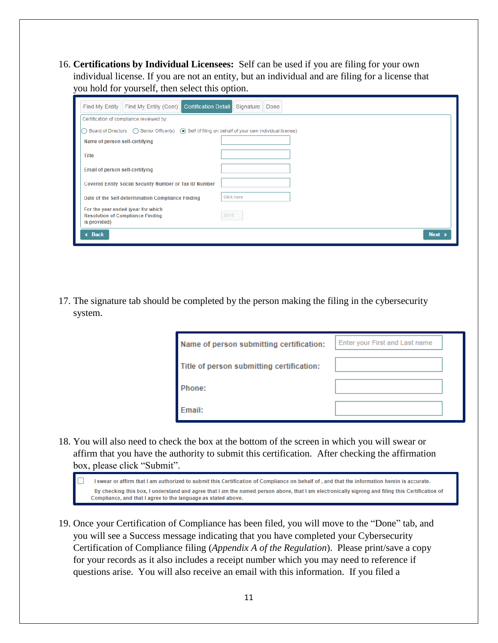16. **Certifications by Individual Licensees:** Self can be used if you are filing for your own individual license. If you are not an entity, but an individual and are filing for a license that you hold for yourself, then select this option.

| <b>Certification Detail</b><br>Find My Entity (Cont)<br>Find My Entity                                              | Signature<br>Done |  |
|---------------------------------------------------------------------------------------------------------------------|-------------------|--|
| Certification of compliance reviewed by:                                                                            |                   |  |
| Board of Directors $\bigcap$ Senior Officer(s) $\bigcirc$ Self (if filing on behalf of your own individual license) |                   |  |
| Name of person self-certifying                                                                                      |                   |  |
| <b>Title</b>                                                                                                        |                   |  |
| Email of person self-certifying                                                                                     |                   |  |
| Covered Entity Social Security Number or Tax ID Number                                                              |                   |  |
| Date of the Self-determination Compliance Finding                                                                   | Click here        |  |
| For the year ended (year for which<br><b>Resolution of Compliance Finding</b><br>is provided)                       | 2018              |  |
| « Back                                                                                                              | <b>Next</b>       |  |

17. The signature tab should be completed by the person making the filing in the cybersecurity system.

| Name of person submitting certification:  | Enter your First and Last name |
|-------------------------------------------|--------------------------------|
| Title of person submitting certification: |                                |
| Phone:                                    |                                |
| <b>Email:</b>                             |                                |

18. You will also need to check the box at the bottom of the screen in which you will swear or affirm that you have the authority to submit this certification. After checking the affirmation box, please click "Submit".

I swear or affirm that I am authorized to submit this Certification of Compliance on behalf of and that the information herein is accurate. By checking this box, I understand and agree that I am the named person above, that I am electronically signing and filing this Certification of Compliance, and that I agree to the language as stated above.

19. Once your Certification of Compliance has been filed, you will move to the "Done" tab, and you will see a Success message indicating that you have completed your Cybersecurity Certification of Compliance filing (*Appendix A of the Regulation*). Please print/save a copy for your records as it also includes a receipt number which you may need to reference if questions arise. You will also receive an email with this information. If you filed a